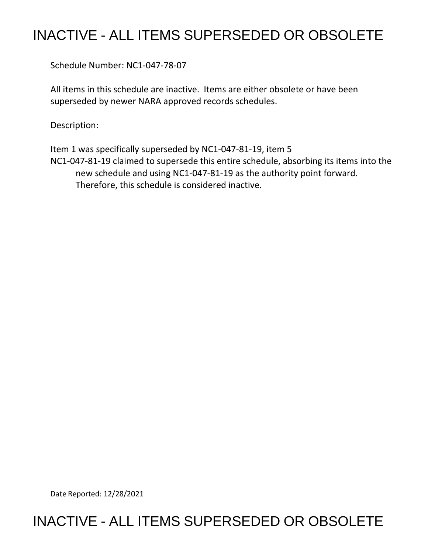## INACTIVE - ALL ITEMS SUPERSEDED OR OBSOLETE

Schedule Number: NC1-047-78-07

 All items in this schedule are inactive. Items are either obsolete or have been superseded by newer NARA approved records schedules.

Description:

 Item 1 was specifically superseded by NC1-047-81-19, item 5 new schedule and using NC1-047-81-19 as the authority point forward.<br>Therefore, this schedule is considered inactive. NC1-047-81-19 claimed to supersede this entire schedule, absorbing its items into the

Date Reported: 12/28/2021

## INACTIVE - ALL ITEMS SUPERSEDED OR OBSOLETE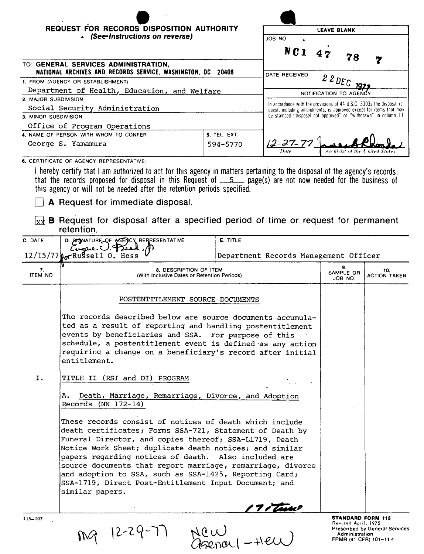| REQUEST FOR RECORDS DISPOSITION AUTHORITY<br>- (See-Instructions on reverse) |                                                                                                                                             | <b>LEAVE BLANK</b><br>JOB NO.                                   |  |  |
|------------------------------------------------------------------------------|---------------------------------------------------------------------------------------------------------------------------------------------|-----------------------------------------------------------------|--|--|
|                                                                              |                                                                                                                                             |                                                                 |  |  |
| TO: GENERAL SERVICES ADMINISTRATION,                                         |                                                                                                                                             |                                                                 |  |  |
| NATIONAL ARCHIVES AND RECORDS SERVICE, WASHINGTON, DC<br>20408               |                                                                                                                                             | DATE RECEIVED<br>$22DEC$ 1977                                   |  |  |
| 1. FROM (AGENCY OR ESTABLISHMENT)                                            |                                                                                                                                             |                                                                 |  |  |
| Department of Health, Education, and Welfare                                 |                                                                                                                                             | NOTIFICATION TO AGENCY                                          |  |  |
| 2. MAJOR SUBDIVISION                                                         | In accordance with the provisions of 44 U.S.C. 3303a the disposal re-<br>quest, including amendments, is approved except for items that may |                                                                 |  |  |
| Social Security Administration                                               |                                                                                                                                             |                                                                 |  |  |
| 3. MINOR SUBDIVISION                                                         |                                                                                                                                             | be stamped "disposal not approved" or "withdrawn" in column 10. |  |  |
| Office of Program Operations                                                 |                                                                                                                                             |                                                                 |  |  |
| 4. NAME OF PERSON WITH WHOM TO CONFER                                        | 5. TEL. EXT.                                                                                                                                |                                                                 |  |  |
| George S. Yamamura                                                           | 594-5770                                                                                                                                    | $12 - 27 - 77'$<br><b>Archivist of the United States</b>        |  |  |
| CERTIFICATE OF LOFNOV PERSENTATIVE                                           |                                                                                                                                             |                                                                 |  |  |

**6.** CERTIFICATE OF AGENCY REPRESENTATIVE

I hereby certify that I am authorized to act for this agency in matters pertaining to the disposal of the agency's records; that the records proposed for disposal in this Request of \_\_\_5\_\_\_ page(s) are not now needed for the business of this agency or will not be needed after the retention periods specified.

**A** Request for immediate disposal.

 $\overline{xx}$  **B** Request for disposal after a specified period of time or request for permanent retention.

| C. DATE        | D. SICNATURE OF AGENCY REFRESENTATIVE<br>Cupare                                                                                                                                                                                                                                                                                                                                                                                                                                                      | <b>E. TITLE</b>                       |                                                                                             |                                       |  |
|----------------|------------------------------------------------------------------------------------------------------------------------------------------------------------------------------------------------------------------------------------------------------------------------------------------------------------------------------------------------------------------------------------------------------------------------------------------------------------------------------------------------------|---------------------------------------|---------------------------------------------------------------------------------------------|---------------------------------------|--|
|                | $12/15/77$ $\alpha$ Russell 0. Hess                                                                                                                                                                                                                                                                                                                                                                                                                                                                  | Department Records Management Officer |                                                                                             |                                       |  |
| 7.<br>ITEM NO. | 8. DESCRIPTION OF ITEM<br>(With Inclusive Dates or Retention Periods)                                                                                                                                                                                                                                                                                                                                                                                                                                |                                       | 9.<br>SAMPLE OR<br>JOB NO.                                                                  | 10.<br>ACTION TAKEN                   |  |
|                | POSTENTITLEMENT SOURCE DOCUMENTS                                                                                                                                                                                                                                                                                                                                                                                                                                                                     |                                       |                                                                                             |                                       |  |
|                | The records described below are source documents accumula-<br>ted as a result of reporting and handling postentitlement<br>events by beneficiaries and SSA. For purpose of this<br>schedule, a postentitlement event is defined as any action<br>requiring a change on a beneficiary's record after initial<br>entitlement.                                                                                                                                                                          |                                       |                                                                                             |                                       |  |
| I.             | TITLE II (RSI and DI) PROGRAM                                                                                                                                                                                                                                                                                                                                                                                                                                                                        |                                       |                                                                                             |                                       |  |
|                | А.<br>Death, Marriage, Remarriage, Divorce, and Adoption<br>Records (NN $172-14$ )                                                                                                                                                                                                                                                                                                                                                                                                                   |                                       |                                                                                             |                                       |  |
|                | These records consist of notices of death which include<br>death certificates; Forms SSA-721, Statement of Death by<br>Funeral Director, and copies thereof; SSA-L1719, Death<br>Notice Work Sheet; duplicate death notices; and similar<br>papers regarding notices of death. Also included are<br>source documents that report marriage, remarriage, divorce<br>and adoption to SSA, such as SSA-1425, Reporting Card;<br>SSA-1719, Direct Post-Entitlement Input Document; and<br>similar papers. | <u>17 i Turio</u>                     |                                                                                             |                                       |  |
| $115 - 107$    | $12 - 29 - 7$                                                                                                                                                                                                                                                                                                                                                                                                                                                                                        |                                       | <b>STANDARD FORM 115</b><br>Revised April, 1975<br>Administration<br>FPMR (41 CFR) 101-11.4 | <b>Prescribed by General Services</b> |  |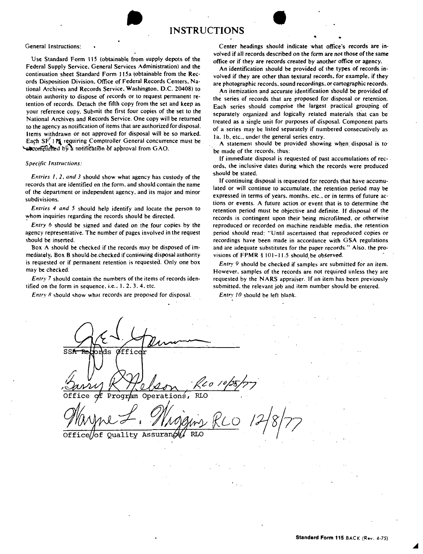## General Instructions:

Use Standard Form 115 (obtainable from supply depots of the Federal Supply Service. General Services Administration) and the continuation sheet Standard Form I 15a (obtainable from the **Rec**ords Disposition Division. Office of Federal Records Centers. National Archives and Records Service, Washington. D.C. 20408) to obtain authority to dispose of records or to request permanent retention- of records. Detach the fifth copy from the set and keep as your reference copy. Submit the first four copies of the set to the National Archives and Records Service. One copy will be returned to the agency as notification of items that are authorized for disposal. Items withdrawn or not approved for disposal will be so marked. Each SF<sup>'</sup>!<sup>\*</sup> requiring Comptroller General concurrence must be  $\sim$ a $\infty$ ompanied by a notification of approval from GAO.

•

## *Specific Instructions:*

*Entries I, 2, and 3* should show what agency has custody of the records that are identified on the form. and should contain the name of the department or independent agency. and its major and minor subdivisions.

*Entries 4 and 5* should help identify and locate the person to whom inquiries regarding the records should be directed.

*Entry* 6 should be signed and dated on the four copies by the agency representative. The number of pages involved in the request should be inserted.

Box A should be checked if the records may be disposed of immediately, Box B should-be-checked if continuing disposal authority is requested or if permanent retention is requested. Only one box may be checked.

*Entry* 7 should contain the numbers of the items of records identified on the form in sequence. i.e., I. 2. 3. 4. etc.

*Entry 8* should show what records are proposed for disposal.

Center headings should indicate what office's records are involved if all records described on the form are not those of the same office or if they are records created by another office or agency.

An identification should be provided of the types of records involved if they are other than textural records, for example, if they are photographic records. sound recordings. or cartographic records.

An itemization and accurate identification should be provided of the series of records that are proposed for disposal or retention. Each series should comprise the largest practical grouping of separately organized and logically related materials that can be treated as a single unit for purposes of disposal. Component parts of a series may be listed separately if numbered consecutively as Ia, Ib. etc., under the general series entry.

. A statement should be provided showing wh\_en. disposal is *to·*  be made of the records. thus:

If immediate disposal is requested of past accumulations of rec- • ords, the inclusive dates during which the records were produced should be stated.

If continuing disposal is requested for records that have accumulated or will continue to accumulate. the retention period may be expressed in terms of years. months. etc .. or in terms of future actions or events. A future action or event that is to determine the retention period must be objective and definite. If disposal of the records is contingent upon their being microfilmed. or otherwise reproduced or recorded on machine readable media. the retention period should read: "Until ascertained that reproduced copies or recordings have been made in accordance with GSA regulations and are adequate substitutes for the paper records." Also. the provisions of  $FPMR$  §  $101-11.5$  should be observed.

*Entry 9* should be checked if samples are submitted for an item. However. samples of the records are not required unless they are requested by the **NARS** appraiser. If an item has been previously submitted, the relevant job and item number should be entered.

*Entry 10* should be left blank.

 $SSH$  $shde$  $\alpha$ ffice Office Prag~ Operations, RLO

WWWL - *Mnggury* RLO<br>Office of quality Assurance RLO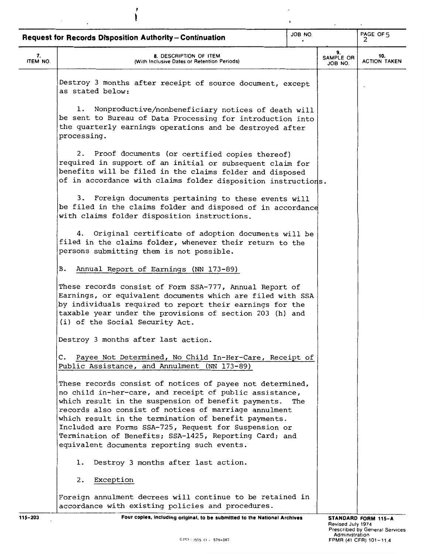|                | JOB NO.<br>Request for Records Disposition Authority-Continuation                                                                                                                                                                                                                                                                                                                                                                                              |     |  | PAGE OF 5                  |
|----------------|----------------------------------------------------------------------------------------------------------------------------------------------------------------------------------------------------------------------------------------------------------------------------------------------------------------------------------------------------------------------------------------------------------------------------------------------------------------|-----|--|----------------------------|
| 7.<br>ITEM NO. | 8. DESCRIPTION OF ITEM<br>(With Inclusive Dates or Retention Periods)                                                                                                                                                                                                                                                                                                                                                                                          |     |  | 10.<br><b>ACTION TAKEN</b> |
|                | Destroy 3 months after receipt of source document, except<br>as stated below:                                                                                                                                                                                                                                                                                                                                                                                  |     |  |                            |
|                | 1. Nonproductive/nonbeneficiary notices of death will<br>be sent to Bureau of Data Processing for introduction into<br>the quarterly earnings operations and be destroyed after<br>processing.                                                                                                                                                                                                                                                                 |     |  |                            |
|                | 2. Proof documents (or certified copies thereof)<br>required in support of an initial or subsequent claim for<br>benefits will be filed in the claims folder and disposed<br>of in accordance with claims folder disposition instructions.                                                                                                                                                                                                                     |     |  |                            |
|                | 3. Foreign documents pertaining to these events will<br>be filed in the claims folder and disposed of in accordance<br>with claims folder disposition instructions.                                                                                                                                                                                                                                                                                            |     |  |                            |
|                | 4. Original certificate of adoption documents will be<br>filed in the claims folder, whenever their return to the<br>persons submitting them is not possible.                                                                                                                                                                                                                                                                                                  |     |  |                            |
|                | <b>B.</b><br>Annual Report of Earnings (NN 173-89)                                                                                                                                                                                                                                                                                                                                                                                                             |     |  |                            |
|                | These records consist of Form SSA-777, Annual Report of<br>Earnings, or equivalent documents which are filed with SSA<br>by individuals required to report their earnings for the<br>taxable year under the provisions of section 203 (h) and<br>(i) of the Social Security Act.                                                                                                                                                                               |     |  |                            |
|                | Destroy 3 months after last action.                                                                                                                                                                                                                                                                                                                                                                                                                            |     |  |                            |
|                | Payee Not Determined, No Child In-Her-Care, Receipt of<br>c.<br>Public Assistance, and Annulment (NN 173-89)                                                                                                                                                                                                                                                                                                                                                   |     |  |                            |
|                | These records consist of notices of payee not determined,<br>no child in-her-care, and receipt of public assistance,<br>which result in the suspension of benefit payments.<br>records also consist of notices of marriage annulment<br>which result in the termination of benefit payments.<br>Included are Forms SSA-725, Request for Suspension or<br>Termination of Benefits; SSA-1425, Reporting Card; and<br>equivalent documents reporting such events. | The |  |                            |
|                | Destroy 3 months after last action.<br>ı.                                                                                                                                                                                                                                                                                                                                                                                                                      |     |  |                            |
|                | Exception<br>2.                                                                                                                                                                                                                                                                                                                                                                                                                                                |     |  |                            |
|                | Foreign annulment decrees will continue to be retained in<br>accordance with existing policies and procedures.                                                                                                                                                                                                                                                                                                                                                 |     |  |                            |

,

**115-203 Four copies, Including original, to be submitted to the National Archives**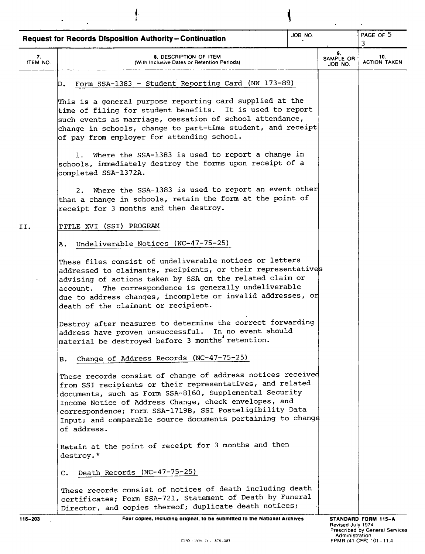|                | <b>Request for Records Disposition Authority-Continuation</b>                                                                                                                                                                                                                                                                                                                          | JOB NO. |                            | PAGE OF 5<br>3                                                  |
|----------------|----------------------------------------------------------------------------------------------------------------------------------------------------------------------------------------------------------------------------------------------------------------------------------------------------------------------------------------------------------------------------------------|---------|----------------------------|-----------------------------------------------------------------|
| 7.<br>ITEM NO. | 8. DESCRIPTION OF ITEM<br>(With Inclusive Dates or Retention Periods)                                                                                                                                                                                                                                                                                                                  |         | 9.<br>SAMPLE OR<br>JOB NO. | 10.<br><b>ACTION TAKEN</b>                                      |
|                | Form SSA-1383 - Student Reporting Card (NN 173-89)<br>D.                                                                                                                                                                                                                                                                                                                               |         |                            |                                                                 |
|                | This is a general purpose reporting card supplied at the<br>time of filing for student benefits. It is used to report<br>such events as marriage, cessation of school attendance,<br>change in schools, change to part-time student, and receipt<br>of pay from employer for attending school.                                                                                         |         |                            |                                                                 |
|                | 1. Where the SSA-1383 is used to report a change in<br>schools, immediately destroy the forms upon receipt of a<br>completed SSA-1372A.                                                                                                                                                                                                                                                |         |                            |                                                                 |
|                | 2. Where the SSA-1383 is used to report an event other<br>than a change in schools, retain the form at the point of<br>receipt for 3 months and then destroy.                                                                                                                                                                                                                          |         |                            |                                                                 |
| II.            | TITLE XVI (SSI) PROGRAM                                                                                                                                                                                                                                                                                                                                                                |         |                            |                                                                 |
|                | Undeliverable Notices (NC-47-75-25)<br>Α.                                                                                                                                                                                                                                                                                                                                              |         |                            |                                                                 |
|                | These files consist of undeliverable notices or letters<br>addressed to claimants, recipients, or their representatives<br>advising of actions taken by SSA on the related claim or<br>The correspondence is generally undeliverable<br>account.<br>due to address changes, incomplete or invalid addresses, or<br>death of the claimant or recipient.                                 |         |                            |                                                                 |
|                | Destroy after measures to determine the correct forwarding<br>address have proven unsuccessful. In no event should<br>material be destroyed before 3 months retention.                                                                                                                                                                                                                 |         |                            |                                                                 |
|                | Change of Address Records (NC-47-75-25)<br>в.                                                                                                                                                                                                                                                                                                                                          |         |                            |                                                                 |
|                | These records consist of change of address notices received<br>from SSI recipients or their representatives, and related<br>documents, such as Form SSA-8160, Supplemental Security<br>Income Notice of Address Change, check envelopes, and<br>correspondence; Form SSA-1719B, SSI Posteligibility Data<br>Input; and comparable source documents pertaining to change<br>of address. |         |                            |                                                                 |
|                | Retain at the point of receipt for 3 months and then<br>destroy.*                                                                                                                                                                                                                                                                                                                      |         |                            |                                                                 |
|                | Death Records (NC-47-75-25)<br>c.                                                                                                                                                                                                                                                                                                                                                      |         |                            |                                                                 |
|                | These records consist of notices of death including death<br>certificates; Form SSA-721, Statement of Death by Funeral<br>Director, and copies thereof; duplicate death notices;                                                                                                                                                                                                       |         |                            |                                                                 |
| 115-203        | Four copies, including original, to be submitted to the National Archives                                                                                                                                                                                                                                                                                                              |         | Revised July 1974          | STANDARD FORM 115-A                                             |
|                | GPO: 1975 O - 579-387                                                                                                                                                                                                                                                                                                                                                                  |         | Administration             | <b>Prescribed by General Services</b><br>FPMR (41 CFR) 101-11.4 |

 $\mathbf{\mathbf{I}}$ 

*I*  I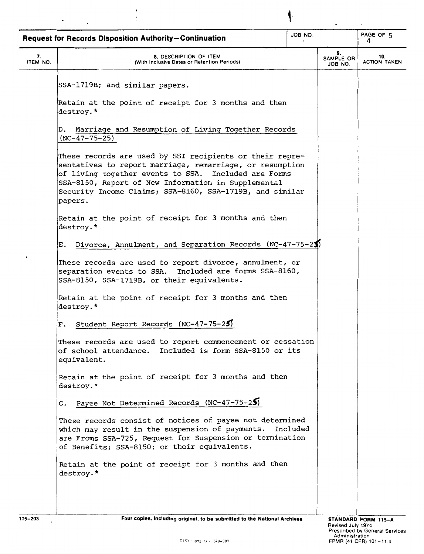|                | JOB NO.<br><b>Request for Records Disposition Authority-Continuation</b>                                                                                                                                                                                                                                   |          |                            | PAGE OF 5<br>4             |
|----------------|------------------------------------------------------------------------------------------------------------------------------------------------------------------------------------------------------------------------------------------------------------------------------------------------------------|----------|----------------------------|----------------------------|
| 7.<br>ITEM NO. | 8. DESCRIPTION OF ITEM<br>(With Inclusive Dates or Retention Periods)                                                                                                                                                                                                                                      |          | 9.<br>SAMPLE OR<br>JOB NO. | 10.<br><b>ACTION TAKEN</b> |
|                | SSA-1719B; and similar papers.                                                                                                                                                                                                                                                                             |          |                            |                            |
|                | Retain at the point of receipt for 3 months and then<br>destroy.*                                                                                                                                                                                                                                          |          |                            |                            |
|                | Marriage and Resumption of Living Together Records<br>D.<br>$(NC-47-75-25)$                                                                                                                                                                                                                                |          |                            |                            |
|                | These records are used by SSI recipients or their repre-<br>sentatives to report marriage, remarriage, or resumption<br>of living together events to SSA. Included are Forms<br>SSA-8150, Report of New Information in Supplemental<br>Security Income Claims; SSA-8160, SSA-1719B, and similar<br>papers. |          |                            |                            |
|                | Retain at the point of receipt for 3 months and then<br>destroy.*                                                                                                                                                                                                                                          |          |                            |                            |
|                | Divorce, Annulment, and Separation Records (NC-47-75-25)<br>E.                                                                                                                                                                                                                                             |          |                            |                            |
|                | These records are used to report divorce, annulment, or<br>separation events to SSA. Included are forms SSA-8160,<br>SSA-8150, SSA-1719B, or their equivalents.                                                                                                                                            |          |                            |                            |
|                | Retain at the point of receipt for 3 months and then<br>destroy.*                                                                                                                                                                                                                                          |          |                            |                            |
|                | Student Report Records (NC-47-75-25)<br>F.                                                                                                                                                                                                                                                                 |          |                            |                            |
|                | These records are used to report commencement or cessation<br>of school attendance. Included is form SSA-8150 or its<br>equivalent.                                                                                                                                                                        |          |                            |                            |
|                | Retain at the point of receipt for 3 months and then<br>destroy.*                                                                                                                                                                                                                                          |          |                            |                            |
|                | G. Payee Not Determined Records (NC-47-75-25)                                                                                                                                                                                                                                                              |          |                            |                            |
|                | These records consist of notices of payee not determined<br>which may result in the suspension of payments.<br>are Froms SSA-725, Request for Suspension or termination<br>of Benefits; SSA-8150; or their equivalents.                                                                                    | Included |                            |                            |
|                | Retain at the point of receipt for 3 months and then<br>destroy.*                                                                                                                                                                                                                                          |          |                            |                            |
|                |                                                                                                                                                                                                                                                                                                            |          |                            |                            |

 $\cdot$ 

**l**